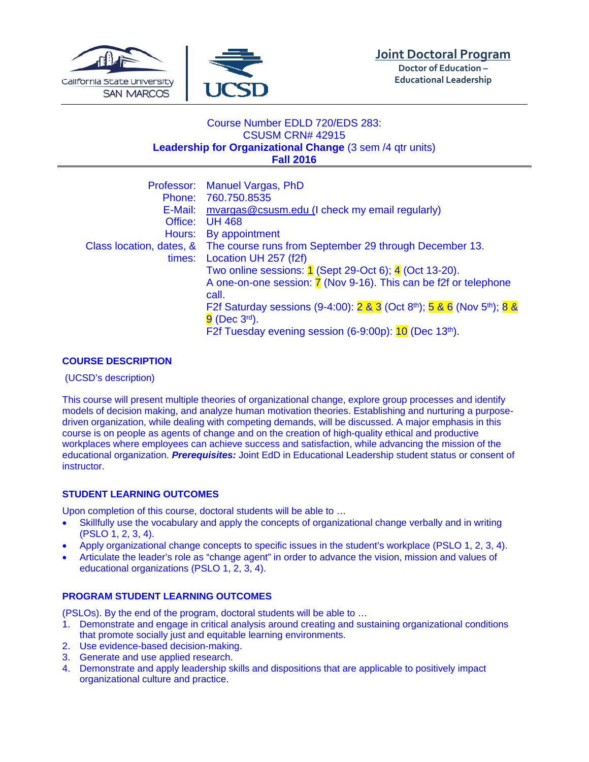



**Doctor of Education – Educational Leadership**

# Course Number EDLD 720/EDS 283: CSUSM CRN# 42915 **Leadership for Organizational Change** (3 sem /4 qtr units) **Fall 2016**

|         | Professor: Manuel Vargas, PhD                                                                   |  |
|---------|-------------------------------------------------------------------------------------------------|--|
|         | Phone: 760.750.8535                                                                             |  |
| E-Mail: | mvargas@csusm.edu (I check my email regularly)                                                  |  |
| Office: | <b>UH 468</b>                                                                                   |  |
| Hours:  | By appointment                                                                                  |  |
|         | Class location, dates, & The course runs from September 29 through December 13.                 |  |
| times:  | Location UH 257 (f2f)                                                                           |  |
|         | Two online sessions: 1 (Sept 29-Oct 6); 4 (Oct 13-20).                                          |  |
|         | A one-on-one session: <b>7</b> (Nov 9-16). This can be f2f or telephone                         |  |
|         | call.                                                                                           |  |
|         | F2f Saturday sessions (9-4:00): 2 & 3 (Oct 8 <sup>th</sup> ); 5 & 6 (Nov 5 <sup>th</sup> ); 8 & |  |
|         | $9$ (Dec $3^{\text{rd}}$ ).                                                                     |  |
|         | F2f Tuesday evening session (6-9:00p): 10 (Dec 13th).                                           |  |

## **COURSE DESCRIPTION**

(UCSD's description)

This course will present multiple theories of organizational change, explore group processes and identify models of decision making, and analyze human motivation theories. Establishing and nurturing a purposedriven organization, while dealing with competing demands, will be discussed. A major emphasis in this course is on people as agents of change and on the creation of high-quality ethical and productive workplaces where employees can achieve success and satisfaction, while advancing the mission of the educational organization. *Prerequisites:* Joint EdD in Educational Leadership student status or consent of instructor.

# **STUDENT LEARNING OUTCOMES**

Upon completion of this course, doctoral students will be able to …

- Skillfully use the vocabulary and apply the concepts of organizational change verbally and in writing (PSLO 1, 2, 3, 4).
- Apply organizational change concepts to specific issues in the student's workplace (PSLO 1, 2, 3, 4).
- Articulate the leader's role as "change agent" in order to advance the vision, mission and values of educational organizations (PSLO 1, 2, 3, 4).

## **PROGRAM STUDENT LEARNING OUTCOMES**

(PSLOs). By the end of the program, doctoral students will be able to …

- 1. Demonstrate and engage in critical analysis around creating and sustaining organizational conditions that promote socially just and equitable learning environments.
- 2. Use evidence-based decision-making.
- 3. Generate and use applied research.
- 4. Demonstrate and apply leadership skills and dispositions that are applicable to positively impact organizational culture and practice.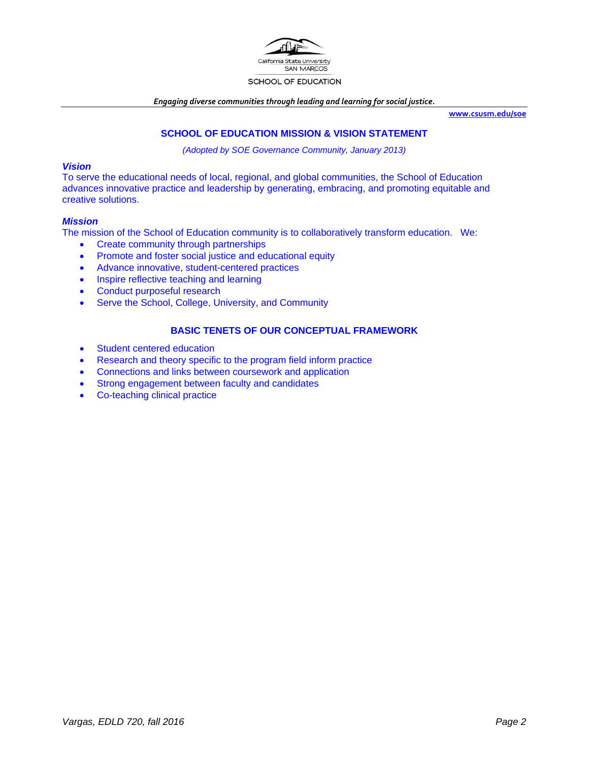

#### SCHOOL OF EDUCATION

*Engaging diverse communities through leading and learning for social justice.*

**www.csusm.edu/soe**

## **SCHOOL OF EDUCATION MISSION & VISION STATEMENT**

*(Adopted by SOE Governance Community, January 2013)* 

#### *Vision*

To serve the educational needs of local, regional, and global communities, the School of Education advances innovative practice and leadership by generating, embracing, and promoting equitable and creative solutions.

### *Mission*

The mission of the School of Education community is to collaboratively transform education. We:

- Create community through partnerships
- Promote and foster social justice and educational equity
- Advance innovative, student-centered practices
- Inspire reflective teaching and learning
- Conduct purposeful research
- Serve the School, College, University, and Community

## **BASIC TENETS OF OUR CONCEPTUAL FRAMEWORK**

- Student centered education
- Research and theory specific to the program field inform practice
- Connections and links between coursework and application
- Strong engagement between faculty and candidates
- Co-teaching clinical practice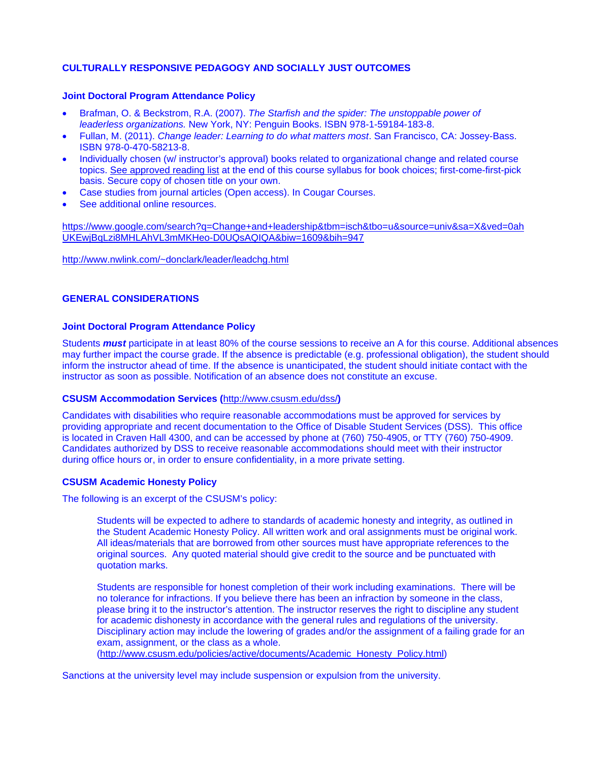## **CULTURALLY RESPONSIVE PEDAGOGY AND SOCIALLY JUST OUTCOMES**

### **Joint Doctoral Program Attendance Policy**

- Brafman, O. & Beckstrom, R.A. (2007). *The Starfish and the spider: The unstoppable power of leaderless organizations.* New York, NY: Penguin Books. ISBN 978-1-59184-183-8.
- Fullan, M. (2011). *Change leader: Learning to do what matters most*. San Francisco, CA: Jossey-Bass. ISBN 978-0-470-58213-8.
- Individually chosen (w/ instructor's approval) books related to organizational change and related course topics. See approved reading list at the end of this course syllabus for book choices; first-come-first-pick basis. Secure copy of chosen title on your own.
- Case studies from journal articles (Open access). In Cougar Courses.
- See additional online resources.

https://www.google.com/search?q=Change+and+leadership&tbm=isch&tbo=u&source=univ&sa=X&ved=0ah UKEwjBqLzi8MHLAhVL3mMKHeo-D0UQsAQIQA&biw=1609&bih=947

http://www.nwlink.com/~donclark/leader/leadchg.html

### **GENERAL CONSIDERATIONS**

#### **Joint Doctoral Program Attendance Policy**

Students *must* participate in at least 80% of the course sessions to receive an A for this course. Additional absences may further impact the course grade. If the absence is predictable (e.g. professional obligation), the student should inform the instructor ahead of time. If the absence is unanticipated, the student should initiate contact with the instructor as soon as possible. Notification of an absence does not constitute an excuse.

#### **CSUSM Accommodation Services (**http://www.csusm.edu/dss/**)**

Candidates with disabilities who require reasonable accommodations must be approved for services by providing appropriate and recent documentation to the Office of Disable Student Services (DSS). This office is located in Craven Hall 4300, and can be accessed by phone at (760) 750-4905, or TTY (760) 750-4909. Candidates authorized by DSS to receive reasonable accommodations should meet with their instructor during office hours or, in order to ensure confidentiality, in a more private setting.

#### **CSUSM Academic Honesty Policy**

The following is an excerpt of the CSUSM's policy:

Students will be expected to adhere to standards of academic honesty and integrity, as outlined in the Student Academic Honesty Policy. All written work and oral assignments must be original work. All ideas/materials that are borrowed from other sources must have appropriate references to the original sources. Any quoted material should give credit to the source and be punctuated with quotation marks.

Students are responsible for honest completion of their work including examinations. There will be no tolerance for infractions. If you believe there has been an infraction by someone in the class, please bring it to the instructor's attention. The instructor reserves the right to discipline any student for academic dishonesty in accordance with the general rules and regulations of the university. Disciplinary action may include the lowering of grades and/or the assignment of a failing grade for an exam, assignment, or the class as a whole.

(http://www.csusm.edu/policies/active/documents/Academic\_Honesty\_Policy.html)

Sanctions at the university level may include suspension or expulsion from the university.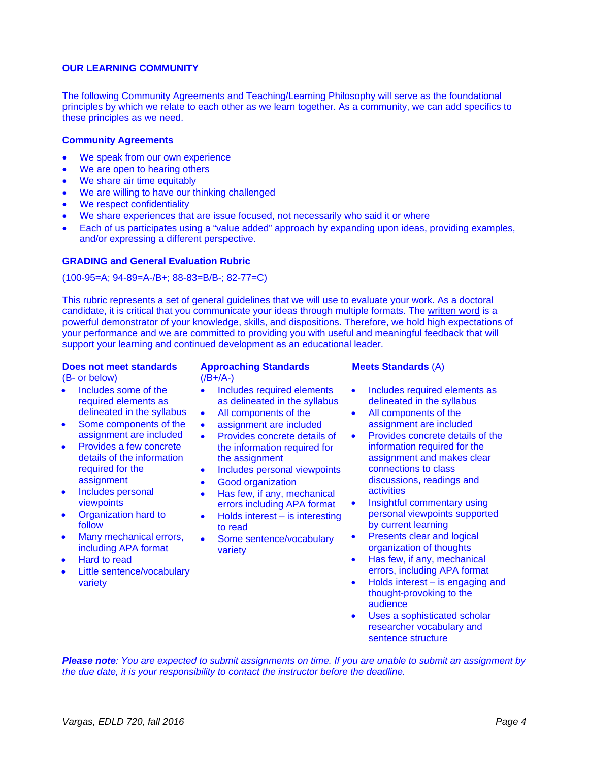### **OUR LEARNING COMMUNITY**

The following Community Agreements and Teaching/Learning Philosophy will serve as the foundational principles by which we relate to each other as we learn together. As a community, we can add specifics to these principles as we need.

#### **Community Agreements**

- We speak from our own experience
- We are open to hearing others
- We share air time equitably
- We are willing to have our thinking challenged
- We respect confidentiality
- We share experiences that are issue focused, not necessarily who said it or where
- Each of us participates using a "value added" approach by expanding upon ideas, providing examples, and/or expressing a different perspective.

### **GRADING and General Evaluation Rubric**

(100-95=A; 94-89=A-/B+; 88-83=B/B-; 82-77=C)

This rubric represents a set of general guidelines that we will use to evaluate your work. As a doctoral candidate, it is critical that you communicate your ideas through multiple formats. The written word is a powerful demonstrator of your knowledge, skills, and dispositions. Therefore, we hold high expectations of your performance and we are committed to providing you with useful and meaningful feedback that will support your learning and continued development as an educational leader.

| <b>Does not meet standards</b>                                                                                                                                                                                                                                                                                                                                                                                                                                                                         | <b>Approaching Standards</b>                                                                                                                                                                                                                                                                                                                                                                                                                                                                                                     | <b>Meets Standards (A)</b>                                                                                                                                                                                                                                                                                                                                                                                                                                                                                                                                                                                                                                                                                                                                                    |
|--------------------------------------------------------------------------------------------------------------------------------------------------------------------------------------------------------------------------------------------------------------------------------------------------------------------------------------------------------------------------------------------------------------------------------------------------------------------------------------------------------|----------------------------------------------------------------------------------------------------------------------------------------------------------------------------------------------------------------------------------------------------------------------------------------------------------------------------------------------------------------------------------------------------------------------------------------------------------------------------------------------------------------------------------|-------------------------------------------------------------------------------------------------------------------------------------------------------------------------------------------------------------------------------------------------------------------------------------------------------------------------------------------------------------------------------------------------------------------------------------------------------------------------------------------------------------------------------------------------------------------------------------------------------------------------------------------------------------------------------------------------------------------------------------------------------------------------------|
| (B- or below)                                                                                                                                                                                                                                                                                                                                                                                                                                                                                          | $($ /B+/A-)                                                                                                                                                                                                                                                                                                                                                                                                                                                                                                                      |                                                                                                                                                                                                                                                                                                                                                                                                                                                                                                                                                                                                                                                                                                                                                                               |
| Includes some of the<br>required elements as<br>delineated in the syllabus<br>Some components of the<br>$\bullet$<br>assignment are included<br>Provides a few concrete<br>$\bullet$<br>details of the information<br>required for the<br>assignment<br>Includes personal<br>$\bullet$<br>viewpoints<br>Organization hard to<br>$\bullet$<br>follow<br>Many mechanical errors,<br>$\bullet$<br>including APA format<br>Hard to read<br>$\bullet$<br>Little sentence/vocabulary<br>$\bullet$<br>variety | Includes required elements<br>$\bullet$<br>as delineated in the syllabus<br>All components of the<br>$\bullet$<br>assignment are included<br>$\bullet$<br>Provides concrete details of<br>$\bullet$<br>the information required for<br>the assignment<br>Includes personal viewpoints<br>$\bullet$<br>Good organization<br>$\bullet$<br>Has few, if any, mechanical<br>$\bullet$<br>errors including APA format<br>Holds interest $-$ is interesting<br>$\bullet$<br>to read<br>Some sentence/vocabulary<br>$\bullet$<br>variety | Includes required elements as<br>$\bullet$<br>delineated in the syllabus<br>All components of the<br>$\bullet$<br>assignment are included<br>Provides concrete details of the<br>$\bullet$<br>information required for the<br>assignment and makes clear<br>connections to class<br>discussions, readings and<br>activities<br>Insightful commentary using<br>$\bullet$<br>personal viewpoints supported<br>by current learning<br>Presents clear and logical<br>$\bullet$<br>organization of thoughts<br>Has few, if any, mechanical<br>$\bullet$<br>errors, including APA format<br>Holds interest $-$ is engaging and<br>$\bullet$<br>thought-provoking to the<br>audience<br>Uses a sophisticated scholar<br>$\bullet$<br>researcher vocabulary and<br>sentence structure |

*Please note: You are expected to submit assignments on time. If you are unable to submit an assignment by the due date, it is your responsibility to contact the instructor before the deadline.*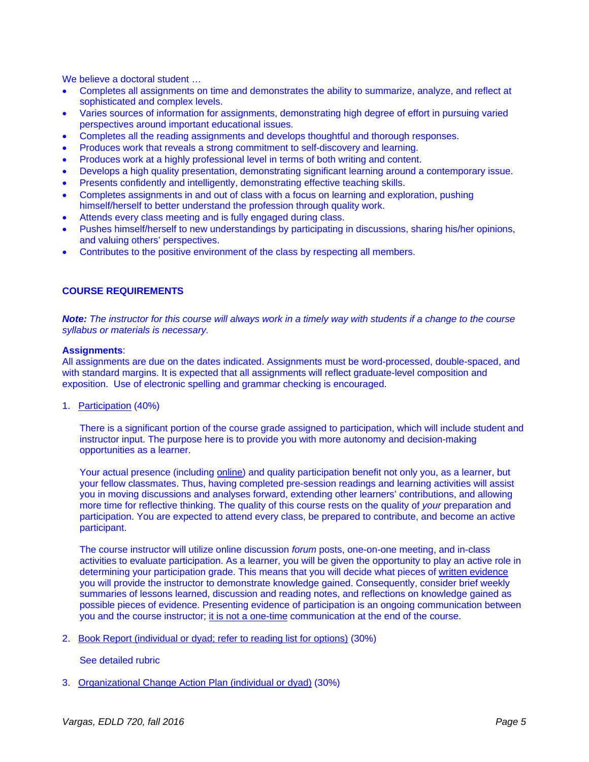We believe a doctoral student ...

- Completes all assignments on time and demonstrates the ability to summarize, analyze, and reflect at sophisticated and complex levels.
- Varies sources of information for assignments, demonstrating high degree of effort in pursuing varied perspectives around important educational issues.
- Completes all the reading assignments and develops thoughtful and thorough responses.
- Produces work that reveals a strong commitment to self-discovery and learning.
- Produces work at a highly professional level in terms of both writing and content.
- Develops a high quality presentation, demonstrating significant learning around a contemporary issue.
- Presents confidently and intelligently, demonstrating effective teaching skills.
- Completes assignments in and out of class with a focus on learning and exploration, pushing himself/herself to better understand the profession through quality work.
- Attends every class meeting and is fully engaged during class.
- Pushes himself/herself to new understandings by participating in discussions, sharing his/her opinions, and valuing others' perspectives.
- Contributes to the positive environment of the class by respecting all members.

## **COURSE REQUIREMENTS**

*Note: The instructor for this course will always work in a timely way with students if a change to the course syllabus or materials is necessary.* 

#### **Assignments**:

All assignments are due on the dates indicated. Assignments must be word-processed, double-spaced, and with standard margins. It is expected that all assignments will reflect graduate-level composition and exposition. Use of electronic spelling and grammar checking is encouraged.

#### 1. Participation (40%)

There is a significant portion of the course grade assigned to participation, which will include student and instructor input. The purpose here is to provide you with more autonomy and decision-making opportunities as a learner.

Your actual presence (including online) and quality participation benefit not only you, as a learner, but your fellow classmates. Thus, having completed pre-session readings and learning activities will assist you in moving discussions and analyses forward, extending other learners' contributions, and allowing more time for reflective thinking. The quality of this course rests on the quality of *your* preparation and participation. You are expected to attend every class, be prepared to contribute, and become an active participant.

The course instructor will utilize online discussion *forum* posts, one-on-one meeting, and in-class activities to evaluate participation. As a learner, you will be given the opportunity to play an active role in determining your participation grade. This means that you will decide what pieces of written evidence you will provide the instructor to demonstrate knowledge gained. Consequently, consider brief weekly summaries of lessons learned, discussion and reading notes, and reflections on knowledge gained as possible pieces of evidence. Presenting evidence of participation is an ongoing communication between you and the course instructor; it is not a one-time communication at the end of the course.

2. Book Report (individual or dyad; refer to reading list for options) (30%)

#### See detailed rubric

3. Organizational Change Action Plan (individual or dyad) (30%)